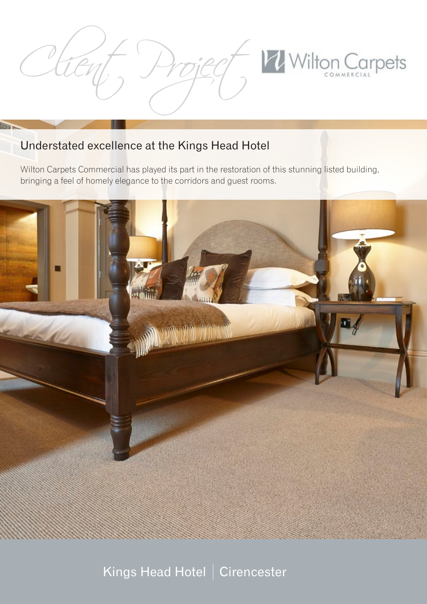

### Understated excellence at the Kings Head Hotel

Billia

Wilton Carpets Commercial has played its part in the restoration of this stunning listed building, bringing a feel of homely elegance to the corridors and guest rooms.



# Kings Head Hotel | Cirencester